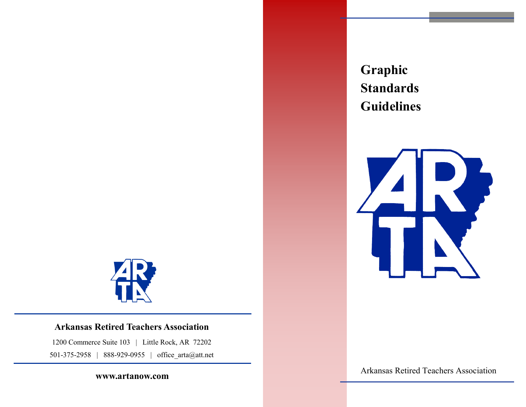

# **Arkansas Retired Teachers Association**

1200 Commerce Suite 103 | Little Rock, AR 72202 501-375-2958 | 888-929-0955 | office\_arta@att.net

**www.artanow.com**

**Graphic Standards Guidelines**



Arkansas Retired Teachers Association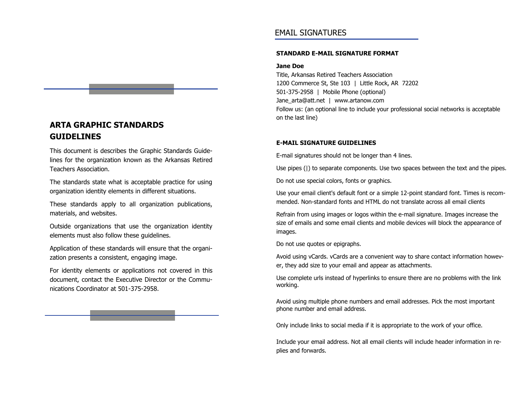# **ARTA GRAPHIC STANDARDS GUIDELINES**

This document is describes the Graphic Standards Guidelines for the organization known as the Arkansas Retired Teachers Association.

The standards state what is acceptable practice for using organization identity elements in different situations.

These standards apply to all organization publications, materials, and websites.

Outside organizations that use the organization identity elements must also follow these guidelines.

Application of these standards will ensure that the organization presents a consistent, engaging image.

For identity elements or applications not covered in this document, contact the Executive Director or the Communications Coordinator at 501-375-2958.

### EMAIL SIGNATURES

#### **STANDARD E-MAIL SIGNATURE FORMAT**

#### **Jane Doe**

Title, Arkansas Retired Teachers Association 1200 Commerce St, Ste 103 | Little Rock, AR 72202 501-375-2958 | Mobile Phone (optional) Jane\_arta@att.net | www.artanow.com Follow us: (an optional line to include your professional social networks is acceptable on the last line)

#### **E-MAIL SIGNATURE GUIDELINES**

E-mail signatures should not be longer than 4 lines.

Use pipes (|) to separate components. Use two spaces between the text and the pipes.

Do not use special colors, fonts or graphics.

Use your email client's default font or a simple 12-point standard font. Times is recommended. Non-standard fonts and HTML do not translate across all email clients

Refrain from using images or logos within the e-mail signature. Images increase the size of emails and some email clients and mobile devices will block the appearance of images.

Do not use quotes or epigraphs.

Avoid using vCards. vCards are a convenient way to share contact information however, they add size to your email and appear as attachments.

Use complete urls instead of hyperlinks to ensure there are no problems with the link working.

Avoid using multiple phone numbers and email addresses. Pick the most important phone number and email address.

Only include links to social media if it is appropriate to the work of your office.

Include your email address. Not all email clients will include header information in replies and forwards.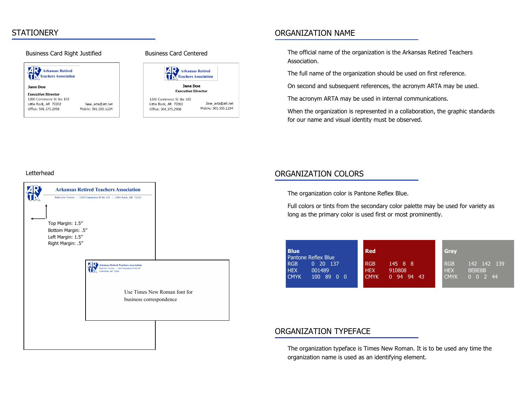### **STATIONERY**

#### Business Card Right Justified Business Card Centered **AR** Arkansas Retired TRANSPORTER Jane Doe **Executive Director** 1200 Commerce St Ste 103 Little Rock, AR 72202 Jane\_arta@att.net Office: 501.375.2958 Mobile: 501.555.1234



### ORGANIZATION NAME

The official name of the organization is the Arkansas Retired Teachers Association.

The full name of the organization should be used on first reference.

On second and subsequent references, the acronym ARTA may be used.

The acronym ARTA may be used in internal communications.

When the organization is represented in a collaboration, the graphic standards for our name and visual identity must be observed.

#### Letterhead



## ORGANIZATION COLORS

The organization color is Pantone Reflex Blue.

Full colors or tints from the secondary color palette may be used for variety as long as the primary color is used first or most prominently.

| <b>Blue</b>                                                                                       | <b>Red</b>                                                             | Gray                                                             |
|---------------------------------------------------------------------------------------------------|------------------------------------------------------------------------|------------------------------------------------------------------|
| Pantone Reflex Blue<br><b>RGB</b><br>$0\quad 20\quad 137'$<br><b>HEX</b><br>001489<br><b>CMYK</b> | <b>RGB</b><br>145 8 8<br>910808<br><b>HEX</b><br>$0 \t94 \t94$<br>-43. | <b>RGB</b><br>142 142 139<br><b>HEX</b><br>8E8E8B<br><b>CMYK</b> |
| 100 89 0<br>- 0                                                                                   | <b>CMYK</b>                                                            | $0 \t0 \t2 \t44$                                                 |

### ORGANIZATION TYPEFACE

The organization typeface is Times New Roman. It is to be used any time the organization name is used as an identifying element.